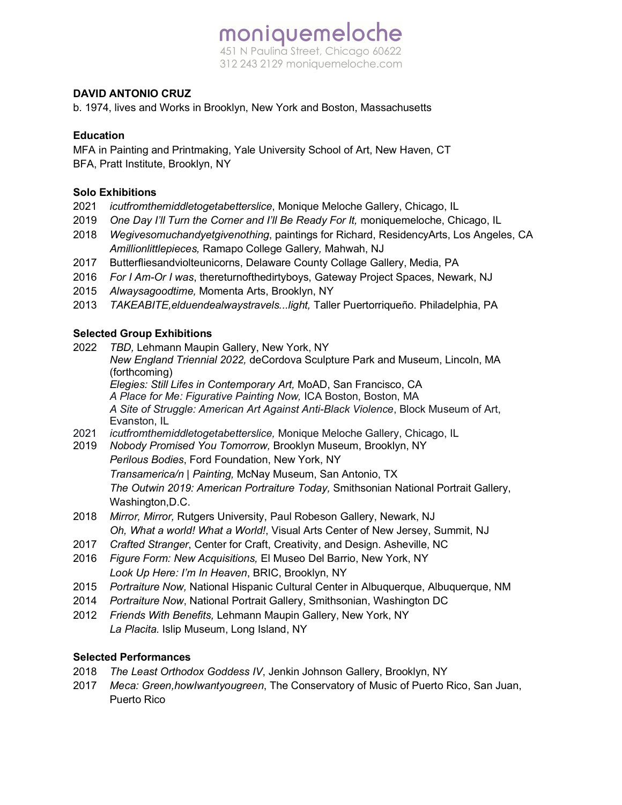## moniquemeloche 451 N Paulina Street, Chicago 60622 312 243 2129 moniquemeloche.com

### **DAVID ANTONIO CRUZ**

b. 1974, lives and Works in Brooklyn, New York and Boston, Massachusetts

#### **Education**

MFA in Painting and Printmaking, Yale University School of Art, New Haven, CT BFA, Pratt Institute, Brooklyn, NY

#### **Solo Exhibitions**

- 2021 *icutfromthemiddletogetabetterslice*, Monique Meloche Gallery, Chicago, IL
- 2019 *One Day I'll Turn the Corner and I'll Be Ready For It,* moniquemeloche, Chicago, IL
- 2018 *Wegivesomuchandyetgivenothing*, paintings for Richard, ResidencyArts, Los Angeles, CA *Amillionlittlepieces,* Ramapo College Gallery*,* Mahwah, NJ
- 2017 Butterfliesandviolteunicorns, Delaware County Collage Gallery, Media, PA
- 2016 *For I Am-Or I was*, thereturnofthedirtyboys, Gateway Project Spaces, Newark, NJ
- 2015 *Alwaysagoodtime,* Momenta Arts, Brooklyn, NY
- 2013 *TAKEABITE,elduendealwaystravels...light,* Taller Puertorriqueño. Philadelphia, PA

#### **Selected Group Exhibitions**

2022 *TBD,* Lehmann Maupin Gallery, New York, NY

*New England Triennial 2022,* deCordova Sculpture Park and Museum, Lincoln, MA (forthcoming)

*Elegies: Still Lifes in Contemporary Art,* MoAD, San Francisco, CA

*A Place for Me: Figurative Painting Now,* ICA Boston, Boston, MA *A Site of Struggle: American Art Against Anti-Black Violence*, Block Museum of Art, Evanston, IL

- 2021 *icutfromthemiddletogetabetterslice,* Monique Meloche Gallery, Chicago, IL
- 2019 *Nobody Promised You Tomorrow,* Brooklyn Museum, Brooklyn, NY *Perilous Bodies*, Ford Foundation, New York, NY *Transamerica/n | Painting,* McNay Museum, San Antonio, TX *The Outwin 2019: American Portraiture Today,* Smithsonian National Portrait Gallery, Washington,D.C.
- 2018 *Mirror, Mirror,* Rutgers University, Paul Robeson Gallery, Newark, NJ *Oh, What a world! What a World!*, Visual Arts Center of New Jersey, Summit, NJ
- 2017 *Crafted Stranger*, Center for Craft, Creativity, and Design. Asheville, NC
- 2016 *Figure Form: New Acquisitions,* El Museo Del Barrio, New York, NY *Look Up Here: I'm In Heaven*, BRIC, Brooklyn, NY
- 2015 *Portraiture Now,* National Hispanic Cultural Center in Albuquerque, Albuquerque, NM
- 2014 *Portraiture Now*, National Portrait Gallery, Smithsonian, Washington DC
- 2012 *Friends With Benefits,* Lehmann Maupin Gallery, New York, NY *La Placita.* Islip Museum, Long Island, NY

#### **Selected Performances**

- 2018 *The Least Orthodox Goddess IV*, Jenkin Johnson Gallery, Brooklyn, NY
- 2017 *Meca: Green,howIwantyougreen*, The Conservatory of Music of Puerto Rico, San Juan, Puerto Rico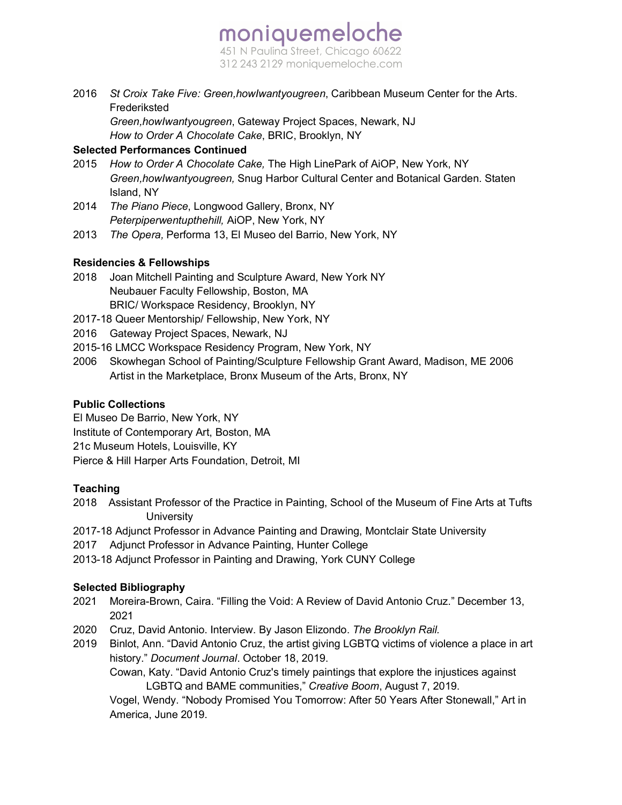# moniquemeloche 451 N Paulina Street, Chicago 60622 312 243 2129 moniquemeloche.com

2016 *St Croix Take Five: Green,howIwantyougreen*, Caribbean Museum Center for the Arts. Frederiksted

*Green,howIwantyougreen*, Gateway Project Spaces, Newark, NJ *How to Order A Chocolate Cake*, BRIC, Brooklyn, NY

## **Selected Performances Continued**

- 2015 *How to Order A Chocolate Cake,* The High LinePark of AiOP, New York, NY *Green,howIwantyougreen,* Snug Harbor Cultural Center and Botanical Garden. Staten Island, NY
- 2014 *The Piano Piece*, Longwood Gallery, Bronx, NY *Peterpiperwentupthehill,* AiOP, New York, NY
- 2013 *The Opera,* Performa 13, El Museo del Barrio, New York, NY

## **Residencies & Fellowships**

- 2018 Joan Mitchell Painting and Sculpture Award, New York NY Neubauer Faculty Fellowship, Boston, MA BRIC/ Workspace Residency, Brooklyn, NY
- 2017-18 Queer Mentorship/ Fellowship, New York, NY
- 2016 Gateway Project Spaces, Newark, NJ
- 2015-16 LMCC Workspace Residency Program, New York, NY
- 2006 Skowhegan School of Painting/Sculpture Fellowship Grant Award, Madison, ME 2006 Artist in the Marketplace, Bronx Museum of the Arts, Bronx, NY

## **Public Collections**

El Museo De Barrio, New York, NY Institute of Contemporary Art, Boston, MA 21c Museum Hotels, Louisville, KY Pierce & Hill Harper Arts Foundation, Detroit, MI

## **Teaching**

- 2018 Assistant Professor of the Practice in Painting, School of the Museum of Fine Arts at Tufts **University**
- 2017-18 Adjunct Professor in Advance Painting and Drawing, Montclair State University
- 2017 Adjunct Professor in Advance Painting, Hunter College
- 2013-18 Adjunct Professor in Painting and Drawing, York CUNY College

## **Selected Bibliography**

- 2021 Moreira-Brown, Caira. "Filling the Void: A Review of David Antonio Cruz." December 13, 2021
- 2020 Cruz, David Antonio. Interview. By Jason Elizondo. *The Brooklyn Rail.*
- 2019 Binlot, Ann. "David Antonio Cruz, the artist giving LGBTQ victims of violence a place in art history." *Document Journal*. October 18, 2019.

Cowan, Katy. "David Antonio Cruz's timely paintings that explore the injustices against LGBTQ and BAME communities," *Creative Boom*, August 7, 2019.

Vogel, Wendy. "Nobody Promised You Tomorrow: After 50 Years After Stonewall," Art in America, June 2019.